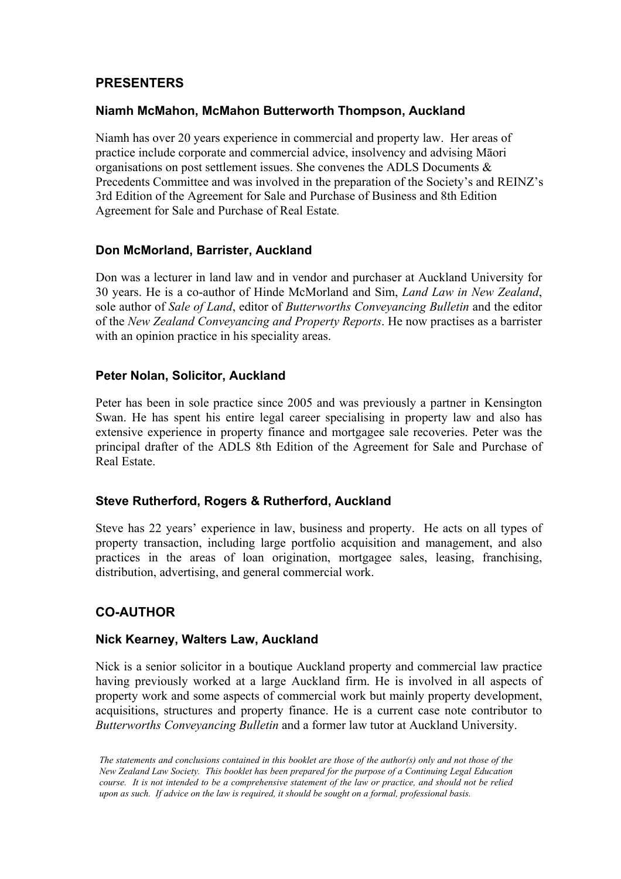### **PRESENTERS**

#### **Niamh McMahon, McMahon Butterworth Thompson, Auckland**

Niamh has over 20 years experience in commercial and property law. Her areas of practice include corporate and commercial advice, insolvency and advising Māori organisations on post settlement issues. She convenes the ADLS Documents & Precedents Committee and was involved in the preparation of the Society's and REINZ's 3rd Edition of the Agreement for Sale and Purchase of Business and 8th Edition Agreement for Sale and Purchase of Real Estate.

#### **Don McMorland, Barrister, Auckland**

Don was a lecturer in land law and in vendor and purchaser at Auckland University for 30 years. He is a co-author of Hinde McMorland and Sim, *Land Law in New Zealand*, sole author of *Sale of Land*, editor of *Butterworths Conveyancing Bulletin* and the editor of the *New Zealand Conveyancing and Property Reports*. He now practises as a barrister with an opinion practice in his speciality areas.

#### **Peter Nolan, Solicitor, Auckland**

Peter has been in sole practice since 2005 and was previously a partner in Kensington Swan. He has spent his entire legal career specialising in property law and also has extensive experience in property finance and mortgagee sale recoveries. Peter was the principal drafter of the ADLS 8th Edition of the Agreement for Sale and Purchase of Real Estate.

#### **Steve Rutherford, Rogers & Rutherford, Auckland**

Steve has 22 years' experience in law, business and property. He acts on all types of property transaction, including large portfolio acquisition and management, and also practices in the areas of loan origination, mortgagee sales, leasing, franchising, distribution, advertising, and general commercial work.

## **CO-AUTHOR**

#### **Nick Kearney, Walters Law, Auckland**

Nick is a senior solicitor in a boutique Auckland property and commercial law practice having previously worked at a large Auckland firm. He is involved in all aspects of property work and some aspects of commercial work but mainly property development, acquisitions, structures and property finance. He is a current case note contributor to *Butterworths Conveyancing Bulletin* and a former law tutor at Auckland University.

*The statements and conclusions contained in this booklet are those of the author(s) only and not those of the New Zealand Law Society. This booklet has been prepared for the purpose of a Continuing Legal Education course. It is not intended to be a comprehensive statement of the law or practice, and should not be relied upon as such. If advice on the law is required, it should be sought on a formal, professional basis.*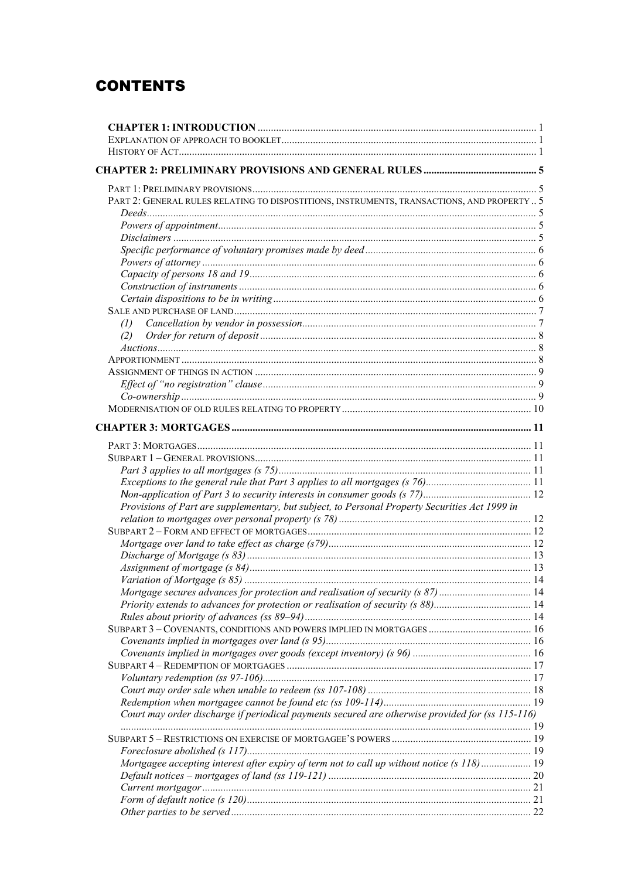# **CONTENTS**

| PART 2: GENERAL RULES RELATING TO DISPOSTITIONS, INSTRUMENTS, TRANSACTIONS, AND PROPERTY  5      |  |
|--------------------------------------------------------------------------------------------------|--|
|                                                                                                  |  |
|                                                                                                  |  |
|                                                                                                  |  |
|                                                                                                  |  |
|                                                                                                  |  |
|                                                                                                  |  |
|                                                                                                  |  |
|                                                                                                  |  |
|                                                                                                  |  |
| (1)                                                                                              |  |
| (2)                                                                                              |  |
|                                                                                                  |  |
|                                                                                                  |  |
|                                                                                                  |  |
|                                                                                                  |  |
|                                                                                                  |  |
|                                                                                                  |  |
|                                                                                                  |  |
|                                                                                                  |  |
|                                                                                                  |  |
|                                                                                                  |  |
|                                                                                                  |  |
|                                                                                                  |  |
| Provisions of Part are supplementary, but subject, to Personal Property Securities Act 1999 in   |  |
|                                                                                                  |  |
|                                                                                                  |  |
|                                                                                                  |  |
|                                                                                                  |  |
|                                                                                                  |  |
|                                                                                                  |  |
| Mortgage secures advances for protection and realisation of security (s 87)  14                  |  |
|                                                                                                  |  |
|                                                                                                  |  |
|                                                                                                  |  |
|                                                                                                  |  |
|                                                                                                  |  |
|                                                                                                  |  |
|                                                                                                  |  |
|                                                                                                  |  |
|                                                                                                  |  |
| Court may order discharge if periodical payments secured are otherwise provided for (ss 115-116) |  |
|                                                                                                  |  |
|                                                                                                  |  |
|                                                                                                  |  |
| Mortgagee accepting interest after expiry of term not to call up without notice (s 118) 19       |  |
|                                                                                                  |  |
|                                                                                                  |  |
|                                                                                                  |  |
|                                                                                                  |  |
|                                                                                                  |  |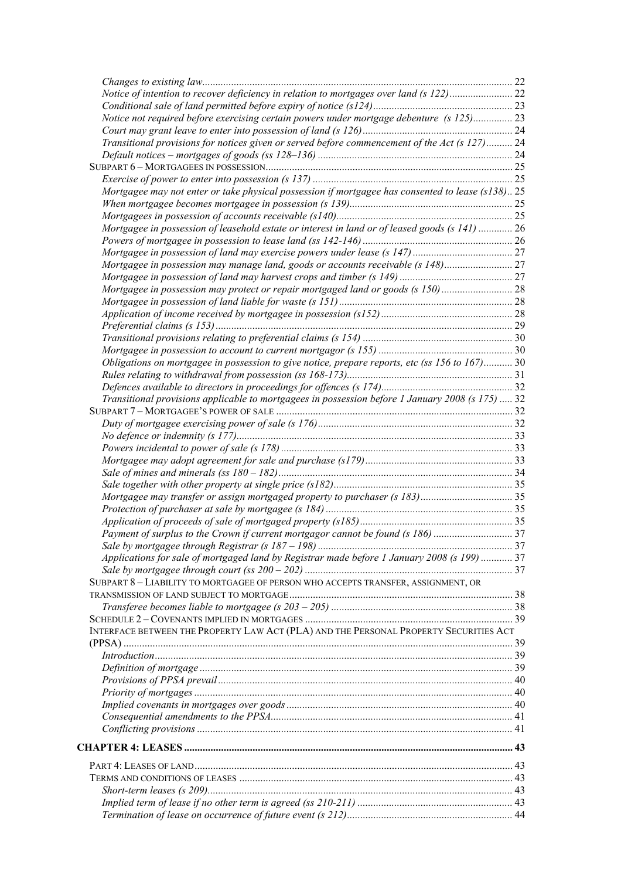| Notice of intention to recover deficiency in relation to mortgages over land (s 122)22            |  |
|---------------------------------------------------------------------------------------------------|--|
|                                                                                                   |  |
| Notice not required before exercising certain powers under mortgage debenture (s 125) 23          |  |
|                                                                                                   |  |
| Transitional provisions for notices given or served before commencement of the Act (s 127) 24     |  |
|                                                                                                   |  |
|                                                                                                   |  |
|                                                                                                   |  |
| Mortgagee may not enter or take physical possession if mortgagee has consented to lease (s138) 25 |  |
|                                                                                                   |  |
|                                                                                                   |  |
| Mortgagee in possession of leasehold estate or interest in land or of leased goods (s 141)  26    |  |
|                                                                                                   |  |
|                                                                                                   |  |
| Mortgagee in possession may manage land, goods or accounts receivable (s 148)27                   |  |
|                                                                                                   |  |
| Mortgagee in possession may protect or repair mortgaged land or goods (s 150) 28                  |  |
|                                                                                                   |  |
|                                                                                                   |  |
|                                                                                                   |  |
|                                                                                                   |  |
|                                                                                                   |  |
| Obligations on mortgagee in possession to give notice, prepare reports, etc (ss 156 to 167) 30    |  |
|                                                                                                   |  |
|                                                                                                   |  |
| Transitional provisions applicable to mortgagees in possession before 1 January 2008 (s 175)  32  |  |
|                                                                                                   |  |
|                                                                                                   |  |
|                                                                                                   |  |
|                                                                                                   |  |
|                                                                                                   |  |
|                                                                                                   |  |
|                                                                                                   |  |
|                                                                                                   |  |
|                                                                                                   |  |
|                                                                                                   |  |
| Payment of surplus to the Crown if current mortgagor cannot be found (s 186) 37                   |  |
|                                                                                                   |  |
| Applications for sale of mortgaged land by Registrar made before 1 January 2008 (s 199)  37       |  |
|                                                                                                   |  |
| SUBPART 8 - LIABILITY TO MORTGAGEE OF PERSON WHO ACCEPTS TRANSFER, ASSIGNMENT, OR                 |  |
|                                                                                                   |  |
|                                                                                                   |  |
|                                                                                                   |  |
| INTERFACE BETWEEN THE PROPERTY LAW ACT (PLA) AND THE PERSONAL PROPERTY SECURITIES ACT             |  |
|                                                                                                   |  |
|                                                                                                   |  |
|                                                                                                   |  |
|                                                                                                   |  |
|                                                                                                   |  |
|                                                                                                   |  |
|                                                                                                   |  |
|                                                                                                   |  |
|                                                                                                   |  |
|                                                                                                   |  |
|                                                                                                   |  |
|                                                                                                   |  |
|                                                                                                   |  |
|                                                                                                   |  |
|                                                                                                   |  |